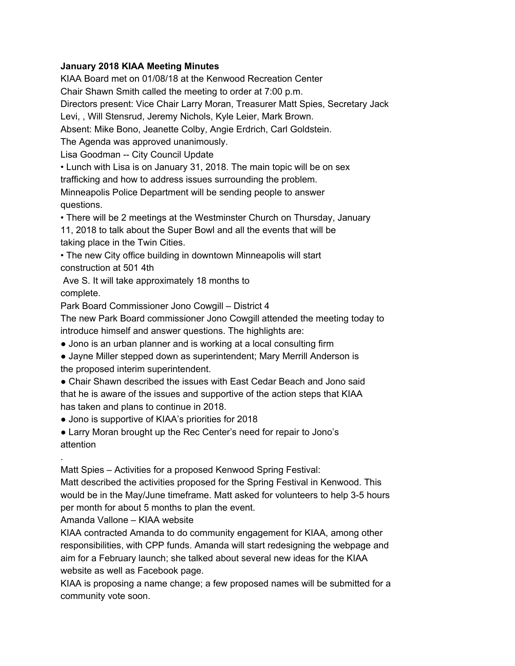#### **January 2018 KIAA Meeting Minutes**

KIAA Board met on 01/08/18 at the Kenwood Recreation Center Chair Shawn Smith called the meeting to order at 7:00 p.m. Directors present: Vice Chair Larry Moran, Treasurer Matt Spies, Secretary Jack Levi, , Will Stensrud, Jeremy Nichols, Kyle Leier, Mark Brown. Absent: Mike Bono, Jeanette Colby, Angie Erdrich, Carl Goldstein. The Agenda was approved unanimously. Lisa Goodman -- City Council Update • Lunch with Lisa is on January 31, 2018. The main topic will be on sex trafficking and how to address issues surrounding the problem. Minneapolis Police Department will be sending people to answer questions. • There will be 2 meetings at the Westminster Church on Thursday, January 11, 2018 to talk about the Super Bowl and all the events that will be taking place in the Twin Cities. • The new City office building in downtown Minneapolis will start

construction at 501 4th

Ave S. It will take approximately 18 months to complete.

Park Board Commissioner Jono Cowgill – District 4

The new Park Board commissioner Jono Cowgill attended the meeting today to introduce himself and answer questions. The highlights are:

• Jono is an urban planner and is working at a local consulting firm

● Jayne Miller stepped down as superintendent; Mary Merrill Anderson is the proposed interim superintendent.

• Chair Shawn described the issues with East Cedar Beach and Jono said that he is aware of the issues and supportive of the action steps that KIAA has taken and plans to continue in 2018.

• Jono is supportive of KIAA's priorities for 2018

• Larry Moran brought up the Rec Center's need for repair to Jono's attention

Matt Spies – Activities for a proposed Kenwood Spring Festival:

Matt described the activities proposed for the Spring Festival in Kenwood. This would be in the May/June timeframe. Matt asked for volunteers to help 3-5 hours per month for about 5 months to plan the event.

Amanda Vallone – KIAA website

.

KIAA contracted Amanda to do community engagement for KIAA, among other responsibilities, with CPP funds. Amanda will start redesigning the webpage and aim for a February launch; she talked about several new ideas for the KIAA website as well as Facebook page.

KIAA is proposing a name change; a few proposed names will be submitted for a community vote soon.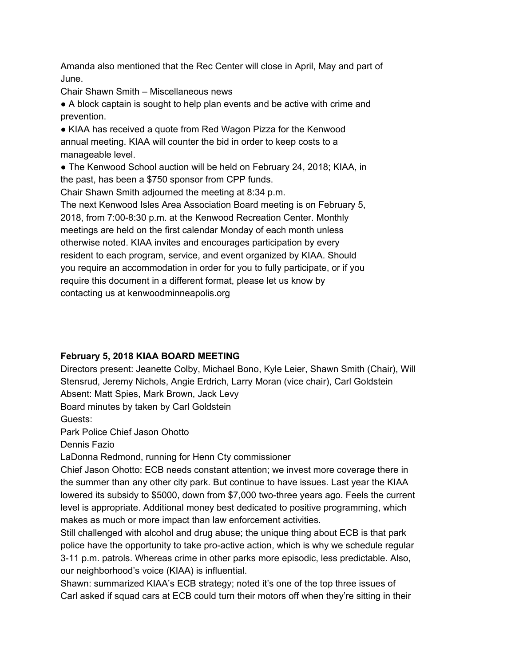Amanda also mentioned that the Rec Center will close in April, May and part of June.

Chair Shawn Smith – Miscellaneous news

● A block captain is sought to help plan events and be active with crime and prevention.

● KIAA has received a quote from Red Wagon Pizza for the Kenwood annual meeting. KIAA will counter the bid in order to keep costs to a manageable level.

• The Kenwood School auction will be held on February 24, 2018; KIAA, in the past, has been a \$750 sponsor from CPP funds.

Chair Shawn Smith adjourned the meeting at 8:34 p.m.

The next Kenwood Isles Area Association Board meeting is on February 5, 2018, from 7:00-8:30 p.m. at the Kenwood Recreation Center. Monthly meetings are held on the first calendar Monday of each month unless otherwise noted. KIAA invites and encourages participation by every resident to each program, service, and event organized by KIAA. Should you require an accommodation in order for you to fully participate, or if you require this document in a different format, please let us know by contacting us at kenwoodminneapolis.org

### **February 5, 2018 KIAA BOARD MEETING**

Directors present: Jeanette Colby, Michael Bono, Kyle Leier, Shawn Smith (Chair), Will Stensrud, Jeremy Nichols, Angie Erdrich, Larry Moran (vice chair), Carl Goldstein Absent: Matt Spies, Mark Brown, Jack Levy

Board minutes by taken by Carl Goldstein

Guests:

Park Police Chief Jason Ohotto

Dennis Fazio

LaDonna Redmond, running for Henn Cty commissioner

Chief Jason Ohotto: ECB needs constant attention; we invest more coverage there in the summer than any other city park. But continue to have issues. Last year the KIAA lowered its subsidy to \$5000, down from \$7,000 two-three years ago. Feels the current level is appropriate. Additional money best dedicated to positive programming, which makes as much or more impact than law enforcement activities.

Still challenged with alcohol and drug abuse; the unique thing about ECB is that park police have the opportunity to take pro-active action, which is why we schedule regular 3-11 p.m. patrols. Whereas crime in other parks more episodic, less predictable. Also, our neighborhood's voice (KIAA) is influential.

Shawn: summarized KIAA's ECB strategy; noted it's one of the top three issues of Carl asked if squad cars at ECB could turn their motors off when they're sitting in their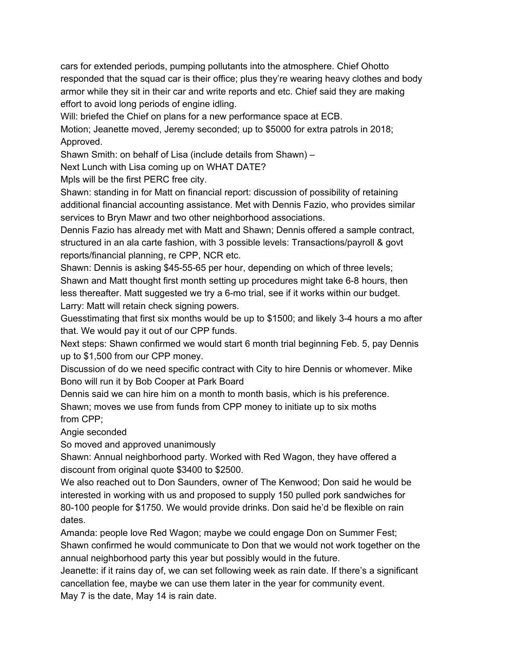cars for extended periods, pumping pollutants into the atmosphere. Chief Ohotto responded that the squad car is their office; plus they're wearing heavy clothes and body armor while they sit in their car and write reports and etc. Chief said they are making effort to avoid long periods of engine idling.

Will: briefed the Chief on plans for a new performance space at ECB.

Motion; Jeanette moved, Jeremy seconded; up to \$5000 for extra patrols in 2018; Approved.

Shawn Smith: on behalf of Lisa (include details from Shawn) –

Next Lunch with Lisa coming up on WHAT DATE?

Mpls will be the first PERC free city.

Shawn: standing in for Matt on financial report: discussion of possibility of retaining additional financial accounting assistance. Met with Dennis Fazio, who provides similar services to Bryn Mawr and two other neighborhood associations.

Dennis Fazio has already met with Matt and Shawn; Dennis offered a sample contract, structured in an ala carte fashion, with 3 possible levels: Transactions/payroll & govt reports/financial planning, re CPP, NCR etc.

Shawn: Dennis is asking \$45-55-65 per hour, depending on which of three levels; Shawn and Matt thought first month setting up procedures might take 6-8 hours, then less thereafter. Matt suggested we try a 6-mo trial, see if it works within our budget. Larry: Matt will retain check signing powers.

Guesstimating that first six months would be up to \$1500; and likely 3-4 hours a mo after that. We would pay it out of our CPP funds.

Next steps: Shawn confirmed we would start 6 month trial beginning Feb. 5, pay Dennis up to \$1,500 from our CPP money.

Discussion of do we need specific contract with City to hire Dennis or whomever. Mike Bono will run it by Bob Cooper at Park Board

Dennis said we can hire him on a month to month basis, which is his preference. Shawn; moves we use from funds from CPP money to initiate up to six moths from CPP;

Angie seconded

So moved and approved unanimously

Shawn: Annual neighborhood party. Worked with Red Wagon, they have offered a discount from original quote \$3400 to \$2500.

We also reached out to Don Saunders, owner of The Kenwood; Don said he would be interested in working with us and proposed to supply 150 pulled pork sandwiches for 80-100 people for \$1750. We would provide drinks. Don said he'd be flexible on rain dates.

Amanda: people love Red Wagon; maybe we could engage Don on Summer Fest; Shawn confirmed he would communicate to Don that we would not work together on the annual neighborhood party this year but possibly would in the future.

Jeanette: if it rains day of, we can set following week as rain date. If there's a significant cancellation fee, maybe we can use them later in the year for community event. May 7 is the date, May 14 is rain date.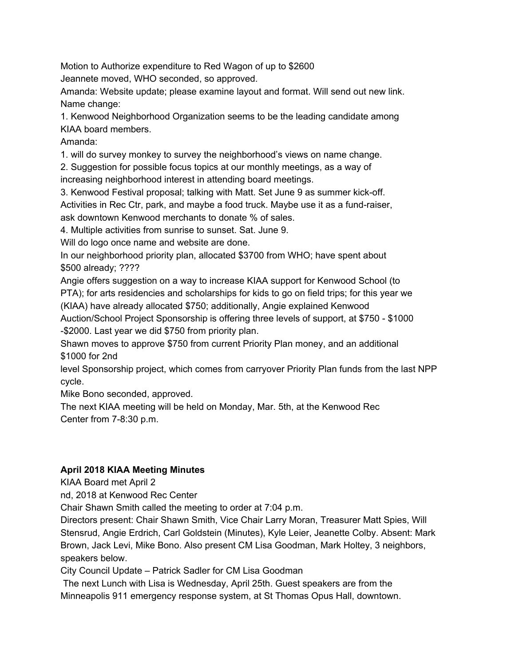Motion to Authorize expenditure to Red Wagon of up to \$2600

Jeannete moved, WHO seconded, so approved.

Amanda: Website update; please examine layout and format. Will send out new link. Name change:

1. Kenwood Neighborhood Organization seems to be the leading candidate among KIAA board members.

Amanda:

1. will do survey monkey to survey the neighborhood's views on name change.

2. Suggestion for possible focus topics at our monthly meetings, as a way of

increasing neighborhood interest in attending board meetings.

3. Kenwood Festival proposal; talking with Matt. Set June 9 as summer kick-off.

Activities in Rec Ctr, park, and maybe a food truck. Maybe use it as a fund-raiser,

ask downtown Kenwood merchants to donate % of sales.

4. Multiple activities from sunrise to sunset. Sat. June 9.

Will do logo once name and website are done.

In our neighborhood priority plan, allocated \$3700 from WHO; have spent about \$500 already; ????

Angie offers suggestion on a way to increase KIAA support for Kenwood School (to PTA); for arts residencies and scholarships for kids to go on field trips; for this year we (KIAA) have already allocated \$750; additionally, Angie explained Kenwood

Auction/School Project Sponsorship is offering three levels of support, at \$750 - \$1000 -\$2000. Last year we did \$750 from priority plan.

Shawn moves to approve \$750 from current Priority Plan money, and an additional \$1000 for 2nd

level Sponsorship project, which comes from carryover Priority Plan funds from the last NPP cycle.

Mike Bono seconded, approved.

The next KIAA meeting will be held on Monday, Mar. 5th, at the Kenwood Rec Center from 7-8:30 p.m.

# **April 2018 KIAA Meeting Minutes**

KIAA Board met April 2

nd, 2018 at Kenwood Rec Center

Chair Shawn Smith called the meeting to order at 7:04 p.m.

Directors present: Chair Shawn Smith, Vice Chair Larry Moran, Treasurer Matt Spies, Will Stensrud, Angie Erdrich, Carl Goldstein (Minutes), Kyle Leier, Jeanette Colby. Absent: Mark Brown, Jack Levi, Mike Bono. Also present CM Lisa Goodman, Mark Holtey, 3 neighbors, speakers below.

City Council Update – Patrick Sadler for CM Lisa Goodman

The next Lunch with Lisa is Wednesday, April 25th. Guest speakers are from the Minneapolis 911 emergency response system, at St Thomas Opus Hall, downtown.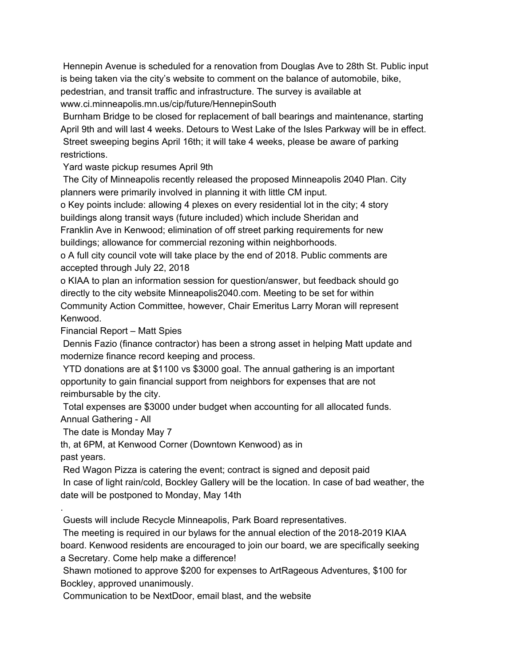Hennepin Avenue is scheduled for a renovation from Douglas Ave to 28th St. Public input is being taken via the city's website to comment on the balance of automobile, bike, pedestrian, and transit traffic and infrastructure. The survey is available at www.ci.minneapolis.mn.us/cip/future/HennepinSouth

Burnham Bridge to be closed for replacement of ball bearings and maintenance, starting April 9th and will last 4 weeks. Detours to West Lake of the Isles Parkway will be in effect. Street sweeping begins April 16th; it will take 4 weeks, please be aware of parking restrictions.

Yard waste pickup resumes April 9th

The City of Minneapolis recently released the proposed Minneapolis 2040 Plan. City planners were primarily involved in planning it with little CM input.

o Key points include: allowing 4 plexes on every residential lot in the city; 4 story buildings along transit ways (future included) which include Sheridan and

Franklin Ave in Kenwood; elimination of off street parking requirements for new buildings; allowance for commercial rezoning within neighborhoods.

o A full city council vote will take place by the end of 2018. Public comments are accepted through July 22, 2018

o KIAA to plan an information session for question/answer, but feedback should go directly to the city website Minneapolis2040.com. Meeting to be set for within Community Action Committee, however, Chair Emeritus Larry Moran will represent Kenwood.

Financial Report – Matt Spies

Dennis Fazio (finance contractor) has been a strong asset in helping Matt update and modernize finance record keeping and process.

YTD donations are at \$1100 vs \$3000 goal. The annual gathering is an important opportunity to gain financial support from neighbors for expenses that are not reimbursable by the city.

Total expenses are \$3000 under budget when accounting for all allocated funds. Annual Gathering - All

The date is Monday May 7

.

th, at 6PM, at Kenwood Corner (Downtown Kenwood) as in past years.

Red Wagon Pizza is catering the event; contract is signed and deposit paid In case of light rain/cold, Bockley Gallery will be the location. In case of bad weather, the date will be postponed to Monday, May 14th

Guests will include Recycle Minneapolis, Park Board representatives.

The meeting is required in our bylaws for the annual election of the 2018-2019 KIAA board. Kenwood residents are encouraged to join our board, we are specifically seeking a Secretary. Come help make a difference!

Shawn motioned to approve \$200 for expenses to ArtRageous Adventures, \$100 for Bockley, approved unanimously.

Communication to be NextDoor, email blast, and the website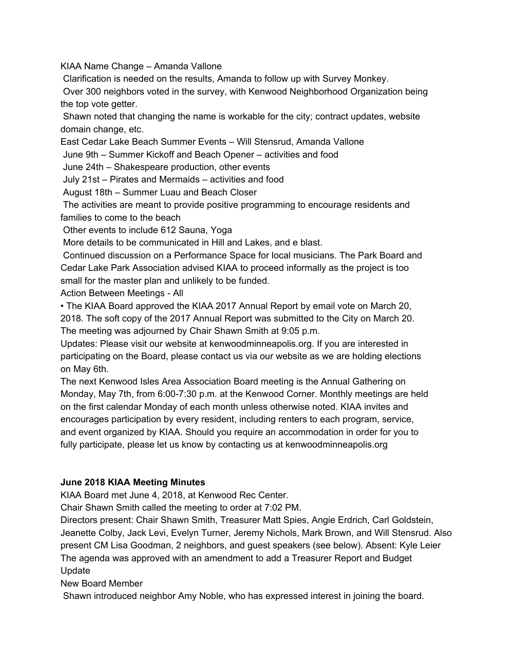KIAA Name Change – Amanda Vallone

Clarification is needed on the results, Amanda to follow up with Survey Monkey.

Over 300 neighbors voted in the survey, with Kenwood Neighborhood Organization being the top vote getter.

Shawn noted that changing the name is workable for the city; contract updates, website domain change, etc.

East Cedar Lake Beach Summer Events – Will Stensrud, Amanda Vallone

June 9th – Summer Kickoff and Beach Opener – activities and food

June 24th – Shakespeare production, other events

July 21st – Pirates and Mermaids – activities and food

August 18th – Summer Luau and Beach Closer

The activities are meant to provide positive programming to encourage residents and families to come to the beach

Other events to include 612 Sauna, Yoga

More details to be communicated in Hill and Lakes, and e blast.

Continued discussion on a Performance Space for local musicians. The Park Board and Cedar Lake Park Association advised KIAA to proceed informally as the project is too small for the master plan and unlikely to be funded.

Action Between Meetings - All

• The KIAA Board approved the KIAA 2017 Annual Report by email vote on March 20, 2018. The soft copy of the 2017 Annual Report was submitted to the City on March 20. The meeting was adjourned by Chair Shawn Smith at 9:05 p.m.

Updates: Please visit our website at kenwoodminneapolis.org. If you are interested in participating on the Board, please contact us via our website as we are holding elections on May 6th.

The next Kenwood Isles Area Association Board meeting is the Annual Gathering on Monday, May 7th, from 6:00-7:30 p.m. at the Kenwood Corner. Monthly meetings are held on the first calendar Monday of each month unless otherwise noted. KIAA invites and encourages participation by every resident, including renters to each program, service, and event organized by KIAA. Should you require an accommodation in order for you to fully participate, please let us know by contacting us at kenwoodminneapolis.org

### **June 2018 KIAA Meeting Minutes**

KIAA Board met June 4, 2018, at Kenwood Rec Center.

Chair Shawn Smith called the meeting to order at 7:02 PM.

Directors present: Chair Shawn Smith, Treasurer Matt Spies, Angie Erdrich, Carl Goldstein, Jeanette Colby, Jack Levi, Evelyn Turner, Jeremy Nichols, Mark Brown, and Will Stensrud. Also present CM Lisa Goodman, 2 neighbors, and guest speakers (see below). Absent: Kyle Leier The agenda was approved with an amendment to add a Treasurer Report and Budget Update

New Board Member

Shawn introduced neighbor Amy Noble, who has expressed interest in joining the board.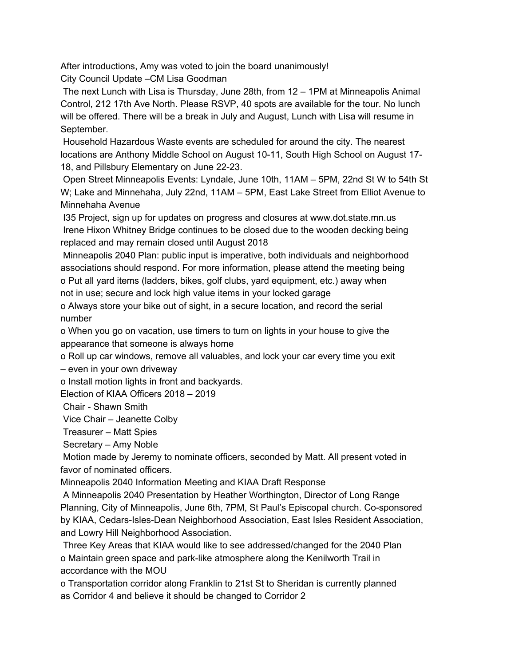After introductions, Amy was voted to join the board unanimously!

City Council Update –CM Lisa Goodman

The next Lunch with Lisa is Thursday, June 28th, from 12 – 1PM at Minneapolis Animal Control, 212 17th Ave North. Please RSVP, 40 spots are available for the tour. No lunch will be offered. There will be a break in July and August, Lunch with Lisa will resume in September.

Household Hazardous Waste events are scheduled for around the city. The nearest locations are Anthony Middle School on August 10-11, South High School on August 17- 18, and Pillsbury Elementary on June 22-23.

Open Street Minneapolis Events: Lyndale, June 10th, 11AM – 5PM, 22nd St W to 54th St W; Lake and Minnehaha, July 22nd, 11AM – 5PM, East Lake Street from Elliot Avenue to Minnehaha Avenue

I35 Project, sign up for updates on progress and closures at www.dot.state.mn.us Irene Hixon Whitney Bridge continues to be closed due to the wooden decking being replaced and may remain closed until August 2018

Minneapolis 2040 Plan: public input is imperative, both individuals and neighborhood associations should respond. For more information, please attend the meeting being o Put all yard items (ladders, bikes, golf clubs, yard equipment, etc.) away when not in use; secure and lock high value items in your locked garage

o Always store your bike out of sight, in a secure location, and record the serial number

o When you go on vacation, use timers to turn on lights in your house to give the appearance that someone is always home

o Roll up car windows, remove all valuables, and lock your car every time you exit

– even in your own driveway

o Install motion lights in front and backyards.

Election of KIAA Officers 2018 – 2019

Chair - Shawn Smith

Vice Chair – Jeanette Colby

Treasurer – Matt Spies

Secretary – Amy Noble

Motion made by Jeremy to nominate officers, seconded by Matt. All present voted in favor of nominated officers.

Minneapolis 2040 Information Meeting and KIAA Draft Response

A Minneapolis 2040 Presentation by Heather Worthington, Director of Long Range Planning, City of Minneapolis, June 6th, 7PM, St Paul's Episcopal church. Co-sponsored by KIAA, Cedars-Isles-Dean Neighborhood Association, East Isles Resident Association, and Lowry Hill Neighborhood Association.

Three Key Areas that KIAA would like to see addressed/changed for the 2040 Plan o Maintain green space and park-like atmosphere along the Kenilworth Trail in accordance with the MOU

o Transportation corridor along Franklin to 21st St to Sheridan is currently planned as Corridor 4 and believe it should be changed to Corridor 2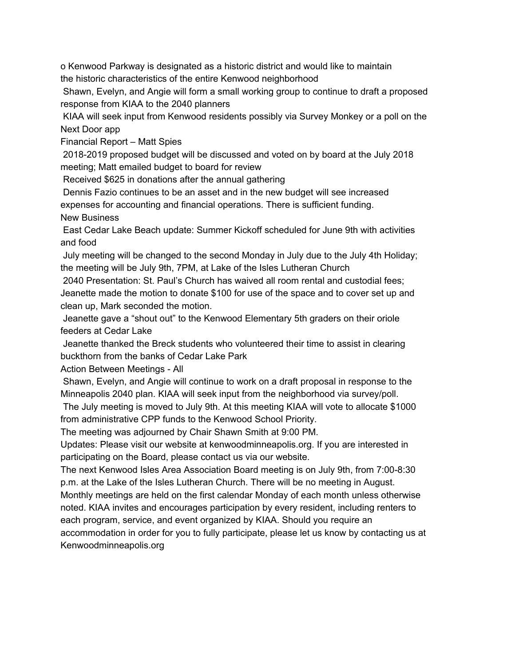o Kenwood Parkway is designated as a historic district and would like to maintain the historic characteristics of the entire Kenwood neighborhood

Shawn, Evelyn, and Angie will form a small working group to continue to draft a proposed response from KIAA to the 2040 planners

KIAA will seek input from Kenwood residents possibly via Survey Monkey or a poll on the Next Door app

Financial Report – Matt Spies

2018-2019 proposed budget will be discussed and voted on by board at the July 2018 meeting; Matt emailed budget to board for review

Received \$625 in donations after the annual gathering

Dennis Fazio continues to be an asset and in the new budget will see increased expenses for accounting and financial operations. There is sufficient funding. New Business

East Cedar Lake Beach update: Summer Kickoff scheduled for June 9th with activities and food

July meeting will be changed to the second Monday in July due to the July 4th Holiday; the meeting will be July 9th, 7PM, at Lake of the Isles Lutheran Church

2040 Presentation: St. Paul's Church has waived all room rental and custodial fees;

Jeanette made the motion to donate \$100 for use of the space and to cover set up and clean up, Mark seconded the motion.

Jeanette gave a "shout out" to the Kenwood Elementary 5th graders on their oriole feeders at Cedar Lake

Jeanette thanked the Breck students who volunteered their time to assist in clearing buckthorn from the banks of Cedar Lake Park

Action Between Meetings - All

Shawn, Evelyn, and Angie will continue to work on a draft proposal in response to the Minneapolis 2040 plan. KIAA will seek input from the neighborhood via survey/poll.

The July meeting is moved to July 9th. At this meeting KIAA will vote to allocate \$1000 from administrative CPP funds to the Kenwood School Priority.

The meeting was adjourned by Chair Shawn Smith at 9:00 PM.

Updates: Please visit our website at kenwoodminneapolis.org. If you are interested in participating on the Board, please contact us via our website.

The next Kenwood Isles Area Association Board meeting is on July 9th, from 7:00-8:30 p.m. at the Lake of the Isles Lutheran Church. There will be no meeting in August.

Monthly meetings are held on the first calendar Monday of each month unless otherwise noted. KIAA invites and encourages participation by every resident, including renters to each program, service, and event organized by KIAA. Should you require an accommodation in order for you to fully participate, please let us know by contacting us at Kenwoodminneapolis.org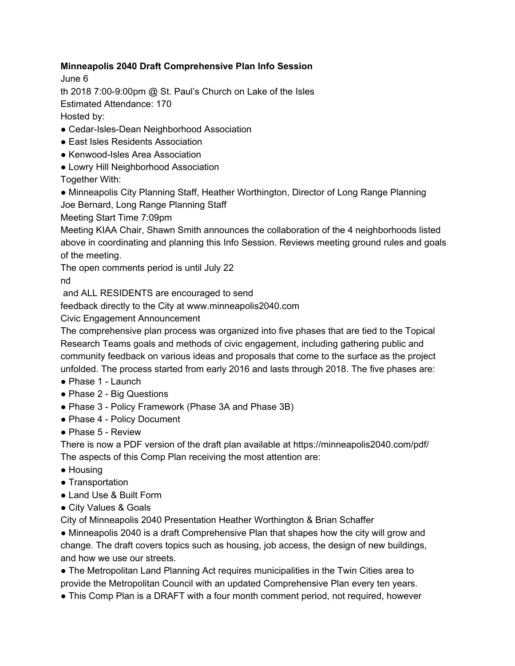## **Minneapolis 2040 Draft Comprehensive Plan Info Session**

June 6

th 2018 7:00-9:00pm @ St. Paul's Church on Lake of the Isles

Estimated Attendance: 170

Hosted by:

- Cedar-Isles-Dean Neighborhood Association
- East Isles Residents Association
- Kenwood-Isles Area Association
- Lowry Hill Neighborhood Association

Together With:

• Minneapolis City Planning Staff, Heather Worthington, Director of Long Range Planning Joe Bernard, Long Range Planning Staff

Meeting Start Time 7:09pm

Meeting KIAA Chair, Shawn Smith announces the collaboration of the 4 neighborhoods listed above in coordinating and planning this Info Session. Reviews meeting ground rules and goals of the meeting.

The open comments period is until July 22

nd

and ALL RESIDENTS are encouraged to send

feedback directly to the City at www.minneapolis2040.com

Civic Engagement Announcement

The comprehensive plan process was organized into five phases that are tied to the Topical Research Teams goals and methods of civic engagement, including gathering public and community feedback on various ideas and proposals that come to the surface as the project unfolded. The process started from early 2016 and lasts through 2018. The five phases are:

- Phase 1 Launch
- Phase 2 Big Questions
- Phase 3 Policy Framework (Phase 3A and Phase 3B)
- Phase 4 Policy Document
- Phase 5 Review

There is now a PDF version of the draft plan available at https://minneapolis2040.com/pdf/ The aspects of this Comp Plan receiving the most attention are:

- Housing
- Transportation
- Land Use & Built Form
- City Values & Goals

City of Minneapolis 2040 Presentation Heather Worthington & Brian Schaffer

• Minneapolis 2040 is a draft Comprehensive Plan that shapes how the city will grow and change. The draft covers topics such as housing, job access, the design of new buildings, and how we use our streets.

● The Metropolitan Land Planning Act requires municipalities in the Twin Cities area to provide the Metropolitan Council with an updated Comprehensive Plan every ten years.

• This Comp Plan is a DRAFT with a four month comment period, not required, however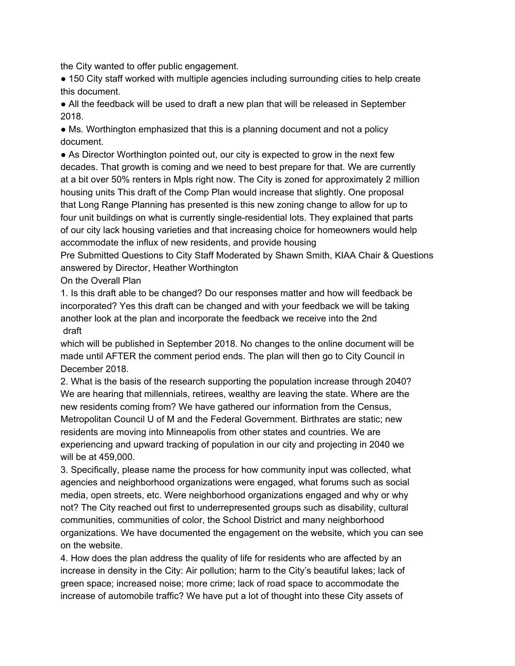the City wanted to offer public engagement.

● 150 City staff worked with multiple agencies including surrounding cities to help create this document.

● All the feedback will be used to draft a new plan that will be released in September 2018.

• Ms. Worthington emphasized that this is a planning document and not a policy document.

• As Director Worthington pointed out, our city is expected to grow in the next few decades. That growth is coming and we need to best prepare for that. We are currently at a bit over 50% renters in Mpls right now. The City is zoned for approximately 2 million housing units This draft of the Comp Plan would increase that slightly. One proposal that Long Range Planning has presented is this new zoning change to allow for up to four unit buildings on what is currently single-residential lots. They explained that parts of our city lack housing varieties and that increasing choice for homeowners would help accommodate the influx of new residents, and provide housing

Pre Submitted Questions to City Staff Moderated by Shawn Smith, KIAA Chair & Questions answered by Director, Heather Worthington

On the Overall Plan

1. Is this draft able to be changed? Do our responses matter and how will feedback be incorporated? Yes this draft can be changed and with your feedback we will be taking another look at the plan and incorporate the feedback we receive into the 2nd draft

which will be published in September 2018. No changes to the online document will be made until AFTER the comment period ends. The plan will then go to City Council in December 2018.

2. What is the basis of the research supporting the population increase through 2040? We are hearing that millennials, retirees, wealthy are leaving the state. Where are the new residents coming from? We have gathered our information from the Census, Metropolitan Council U of M and the Federal Government. Birthrates are static; new residents are moving into Minneapolis from other states and countries. We are experiencing and upward tracking of population in our city and projecting in 2040 we will be at 459,000.

3. Specifically, please name the process for how community input was collected, what agencies and neighborhood organizations were engaged, what forums such as social media, open streets, etc. Were neighborhood organizations engaged and why or why not? The City reached out first to underrepresented groups such as disability, cultural communities, communities of color, the School District and many neighborhood organizations. We have documented the engagement on the website, which you can see on the website.

4. How does the plan address the quality of life for residents who are affected by an increase in density in the City: Air pollution; harm to the City's beautiful lakes; lack of green space; increased noise; more crime; lack of road space to accommodate the increase of automobile traffic? We have put a lot of thought into these City assets of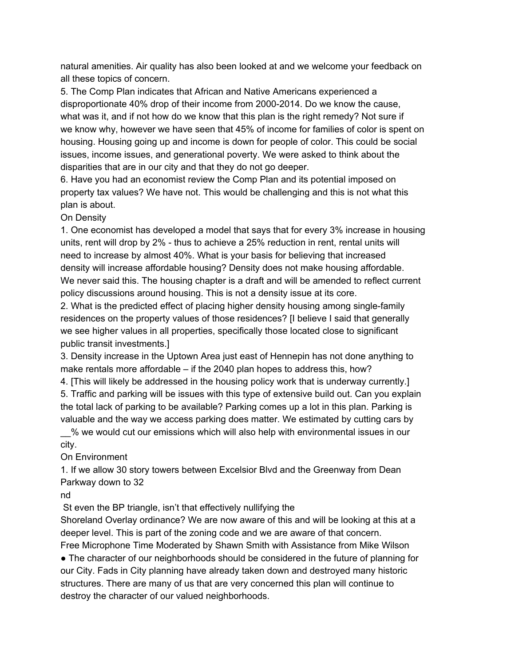natural amenities. Air quality has also been looked at and we welcome your feedback on all these topics of concern.

5. The Comp Plan indicates that African and Native Americans experienced a disproportionate 40% drop of their income from 2000-2014. Do we know the cause, what was it, and if not how do we know that this plan is the right remedy? Not sure if we know why, however we have seen that 45% of income for families of color is spent on housing. Housing going up and income is down for people of color. This could be social issues, income issues, and generational poverty. We were asked to think about the disparities that are in our city and that they do not go deeper.

6. Have you had an economist review the Comp Plan and its potential imposed on property tax values? We have not. This would be challenging and this is not what this plan is about.

### On Density

1. One economist has developed a model that says that for every 3% increase in housing units, rent will drop by 2% - thus to achieve a 25% reduction in rent, rental units will need to increase by almost 40%. What is your basis for believing that increased density will increase affordable housing? Density does not make housing affordable. We never said this. The housing chapter is a draft and will be amended to reflect current policy discussions around housing. This is not a density issue at its core.

2. What is the predicted effect of placing higher density housing among single-family residences on the property values of those residences? [I believe I said that generally we see higher values in all properties, specifically those located close to significant public transit investments.]

3. Density increase in the Uptown Area just east of Hennepin has not done anything to make rentals more affordable – if the 2040 plan hopes to address this, how?

4. [This will likely be addressed in the housing policy work that is underway currently.] 5. Traffic and parking will be issues with this type of extensive build out. Can you explain the total lack of parking to be available? Parking comes up a lot in this plan. Parking is valuable and the way we access parking does matter. We estimated by cutting cars by

\_\_% we would cut our emissions which will also help with environmental issues in our city.

On Environment

1. If we allow 30 story towers between Excelsior Blvd and the Greenway from Dean Parkway down to 32

nd

St even the BP triangle, isn't that effectively nullifying the

Shoreland Overlay ordinance? We are now aware of this and will be looking at this at a deeper level. This is part of the zoning code and we are aware of that concern.

Free Microphone Time Moderated by Shawn Smith with Assistance from Mike Wilson • The character of our neighborhoods should be considered in the future of planning for our City. Fads in City planning have already taken down and destroyed many historic structures. There are many of us that are very concerned this plan will continue to destroy the character of our valued neighborhoods.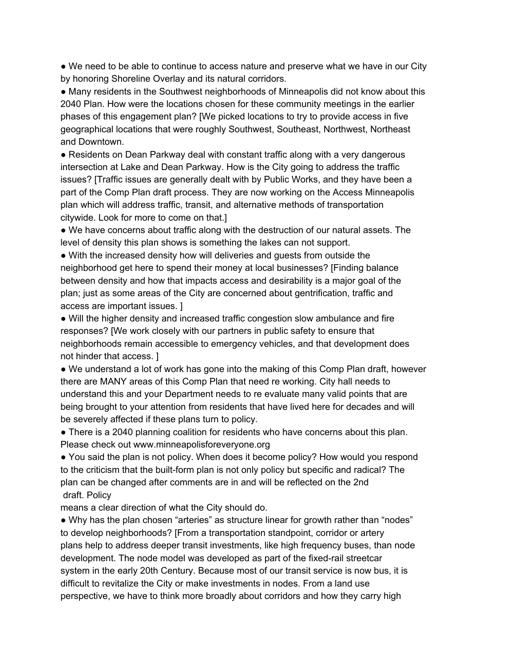• We need to be able to continue to access nature and preserve what we have in our City by honoring Shoreline Overlay and its natural corridors.

● Many residents in the Southwest neighborhoods of Minneapolis did not know about this 2040 Plan. How were the locations chosen for these community meetings in the earlier phases of this engagement plan? [We picked locations to try to provide access in five geographical locations that were roughly Southwest, Southeast, Northwest, Northeast and Downtown.

● Residents on Dean Parkway deal with constant traffic along with a very dangerous intersection at Lake and Dean Parkway. How is the City going to address the traffic issues? [Traffic issues are generally dealt with by Public Works, and they have been a part of the Comp Plan draft process. They are now working on the Access Minneapolis plan which will address traffic, transit, and alternative methods of transportation citywide. Look for more to come on that.]

• We have concerns about traffic along with the destruction of our natural assets. The level of density this plan shows is something the lakes can not support.

• With the increased density how will deliveries and guests from outside the neighborhood get here to spend their money at local businesses? [Finding balance between density and how that impacts access and desirability is a major goal of the plan; just as some areas of the City are concerned about gentrification, traffic and access are important issues. ]

● Will the higher density and increased traffic congestion slow ambulance and fire responses? [We work closely with our partners in public safety to ensure that neighborhoods remain accessible to emergency vehicles, and that development does not hinder that access. ]

• We understand a lot of work has gone into the making of this Comp Plan draft, however there are MANY areas of this Comp Plan that need re working. City hall needs to understand this and your Department needs to re evaluate many valid points that are being brought to your attention from residents that have lived here for decades and will be severely affected if these plans turn to policy.

• There is a 2040 planning coalition for residents who have concerns about this plan. Please check out www.minneapolisforeveryone.org

● You said the plan is not policy. When does it become policy? How would you respond to the criticism that the built-form plan is not only policy but specific and radical? The plan can be changed after comments are in and will be reflected on the 2nd draft. Policy

means a clear direction of what the City should do.

● Why has the plan chosen "arteries" as structure linear for growth rather than "nodes" to develop neighborhoods? [From a transportation standpoint, corridor or artery plans help to address deeper transit investments, like high frequency buses, than node development. The node model was developed as part of the fixed-rail streetcar system in the early 20th Century. Because most of our transit service is now bus, it is difficult to revitalize the City or make investments in nodes. From a land use perspective, we have to think more broadly about corridors and how they carry high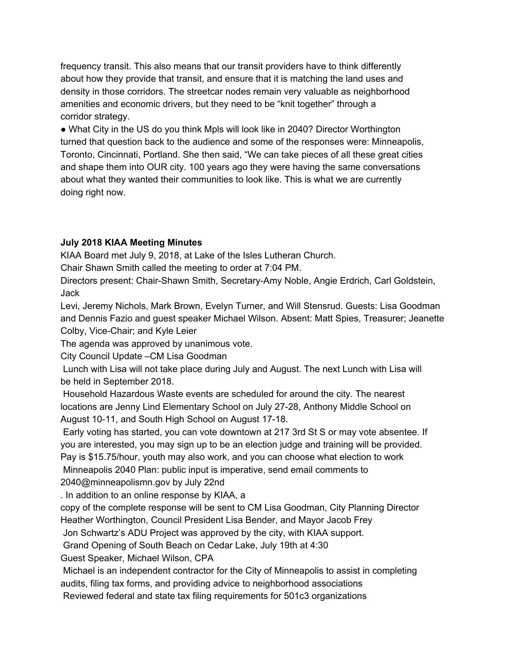frequency transit. This also means that our transit providers have to think differently about how they provide that transit, and ensure that it is matching the land uses and density in those corridors. The streetcar nodes remain very valuable as neighborhood amenities and economic drivers, but they need to be "knit together" through a corridor strategy.

• What City in the US do you think Mpls will look like in 2040? Director Worthington turned that question back to the audience and some of the responses were: Minneapolis, Toronto, Cincinnati, Portland. She then said, "We can take pieces of all these great cities and shape them into OUR city. 100 years ago they were having the same conversations about what they wanted their communities to look like. This is what we are currently doing right now.

## **July 2018 KIAA Meeting Minutes**

KIAA Board met July 9, 2018, at Lake of the Isles Lutheran Church.

Chair Shawn Smith called the meeting to order at 7:04 PM.

Directors present: Chair-Shawn Smith, Secretary-Amy Noble, Angie Erdrich, Carl Goldstein, Jack

Levi, Jeremy Nichols, Mark Brown, Evelyn Turner, and Will Stensrud. Guests: Lisa Goodman and Dennis Fazio and guest speaker Michael Wilson. Absent: Matt Spies, Treasurer; Jeanette Colby, Vice-Chair; and Kyle Leier

The agenda was approved by unanimous vote.

City Council Update –CM Lisa Goodman

Lunch with Lisa will not take place during July and August. The next Lunch with Lisa will be held in September 2018.

Household Hazardous Waste events are scheduled for around the city. The nearest locations are Jenny Lind Elementary School on July 27-28, Anthony Middle School on August 10-11, and South High School on August 17-18.

Early voting has started, you can vote downtown at 217 3rd St S or may vote absentee. If you are interested, you may sign up to be an election judge and training will be provided. Pay is \$15.75/hour, youth may also work, and you can choose what election to work

Minneapolis 2040 Plan: public input is imperative, send email comments to 2040@minneapolismn.gov by July 22nd

. In addition to an online response by KIAA, a

copy of the complete response will be sent to CM Lisa Goodman, City Planning Director Heather Worthington, Council President Lisa Bender, and Mayor Jacob Frey

Jon Schwartz's ADU Project was approved by the city, with KIAA support.

Grand Opening of South Beach on Cedar Lake, July 19th at 4:30

Guest Speaker, Michael Wilson, CPA

Michael is an independent contractor for the City of Minneapolis to assist in completing audits, filing tax forms, and providing advice to neighborhood associations

Reviewed federal and state tax filing requirements for 501c3 organizations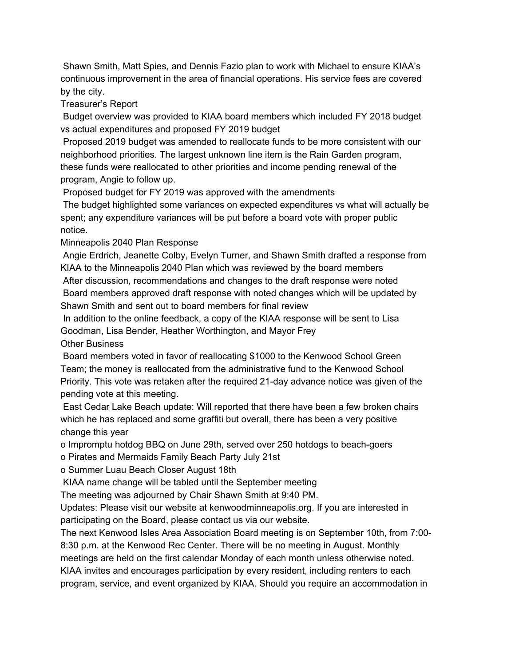Shawn Smith, Matt Spies, and Dennis Fazio plan to work with Michael to ensure KIAA's continuous improvement in the area of financial operations. His service fees are covered by the city.

Treasurer's Report

Budget overview was provided to KIAA board members which included FY 2018 budget vs actual expenditures and proposed FY 2019 budget

Proposed 2019 budget was amended to reallocate funds to be more consistent with our neighborhood priorities. The largest unknown line item is the Rain Garden program, these funds were reallocated to other priorities and income pending renewal of the program, Angie to follow up.

Proposed budget for FY 2019 was approved with the amendments

The budget highlighted some variances on expected expenditures vs what will actually be spent; any expenditure variances will be put before a board vote with proper public notice.

Minneapolis 2040 Plan Response

Angie Erdrich, Jeanette Colby, Evelyn Turner, and Shawn Smith drafted a response from KIAA to the Minneapolis 2040 Plan which was reviewed by the board members After discussion, recommendations and changes to the draft response were noted

Board members approved draft response with noted changes which will be updated by Shawn Smith and sent out to board members for final review

In addition to the online feedback, a copy of the KIAA response will be sent to Lisa Goodman, Lisa Bender, Heather Worthington, and Mayor Frey

Other Business

Board members voted in favor of reallocating \$1000 to the Kenwood School Green Team; the money is reallocated from the administrative fund to the Kenwood School Priority. This vote was retaken after the required 21-day advance notice was given of the pending vote at this meeting.

East Cedar Lake Beach update: Will reported that there have been a few broken chairs which he has replaced and some graffiti but overall, there has been a very positive change this year

o Impromptu hotdog BBQ on June 29th, served over 250 hotdogs to beach-goers

o Pirates and Mermaids Family Beach Party July 21st

o Summer Luau Beach Closer August 18th

KIAA name change will be tabled until the September meeting

The meeting was adjourned by Chair Shawn Smith at 9:40 PM.

Updates: Please visit our website at kenwoodminneapolis.org. If you are interested in participating on the Board, please contact us via our website.

The next Kenwood Isles Area Association Board meeting is on September 10th, from 7:00- 8:30 p.m. at the Kenwood Rec Center. There will be no meeting in August. Monthly meetings are held on the first calendar Monday of each month unless otherwise noted. KIAA invites and encourages participation by every resident, including renters to each program, service, and event organized by KIAA. Should you require an accommodation in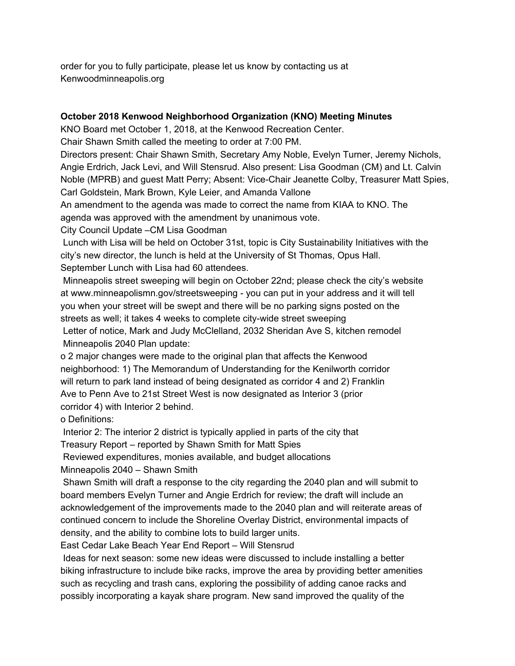order for you to fully participate, please let us know by contacting us at Kenwoodminneapolis.org

### **October 2018 Kenwood Neighborhood Organization (KNO) Meeting Minutes**

KNO Board met October 1, 2018, at the Kenwood Recreation Center.

Chair Shawn Smith called the meeting to order at 7:00 PM.

Directors present: Chair Shawn Smith, Secretary Amy Noble, Evelyn Turner, Jeremy Nichols, Angie Erdrich, Jack Levi, and Will Stensrud. Also present: Lisa Goodman (CM) and Lt. Calvin Noble (MPRB) and guest Matt Perry; Absent: Vice-Chair Jeanette Colby, Treasurer Matt Spies, Carl Goldstein, Mark Brown, Kyle Leier, and Amanda Vallone

An amendment to the agenda was made to correct the name from KIAA to KNO. The agenda was approved with the amendment by unanimous vote.

City Council Update –CM Lisa Goodman

Lunch with Lisa will be held on October 31st, topic is City Sustainability Initiatives with the city's new director, the lunch is held at the University of St Thomas, Opus Hall. September Lunch with Lisa had 60 attendees.

Minneapolis street sweeping will begin on October 22nd; please check the city's website at www.minneapolismn.gov/streetsweeping - you can put in your address and it will tell you when your street will be swept and there will be no parking signs posted on the streets as well; it takes 4 weeks to complete city-wide street sweeping

Letter of notice, Mark and Judy McClelland, 2032 Sheridan Ave S, kitchen remodel Minneapolis 2040 Plan update:

o 2 major changes were made to the original plan that affects the Kenwood neighborhood: 1) The Memorandum of Understanding for the Kenilworth corridor will return to park land instead of being designated as corridor 4 and 2) Franklin Ave to Penn Ave to 21st Street West is now designated as Interior 3 (prior corridor 4) with Interior 2 behind.

o Definitions:

Interior 2: The interior 2 district is typically applied in parts of the city that

Treasury Report – reported by Shawn Smith for Matt Spies

Reviewed expenditures, monies available, and budget allocations

Minneapolis 2040 – Shawn Smith

Shawn Smith will draft a response to the city regarding the 2040 plan and will submit to board members Evelyn Turner and Angie Erdrich for review; the draft will include an acknowledgement of the improvements made to the 2040 plan and will reiterate areas of continued concern to include the Shoreline Overlay District, environmental impacts of density, and the ability to combine lots to build larger units.

East Cedar Lake Beach Year End Report – Will Stensrud

Ideas for next season: some new ideas were discussed to include installing a better biking infrastructure to include bike racks, improve the area by providing better amenities such as recycling and trash cans, exploring the possibility of adding canoe racks and possibly incorporating a kayak share program. New sand improved the quality of the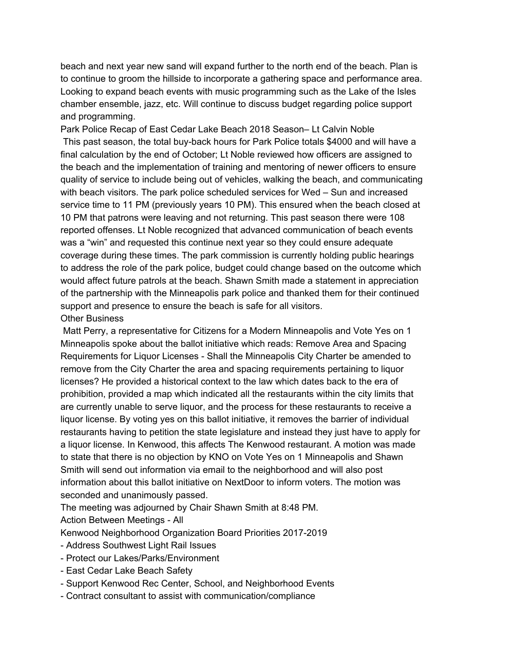beach and next year new sand will expand further to the north end of the beach. Plan is to continue to groom the hillside to incorporate a gathering space and performance area. Looking to expand beach events with music programming such as the Lake of the Isles chamber ensemble, jazz, etc. Will continue to discuss budget regarding police support and programming.

Park Police Recap of East Cedar Lake Beach 2018 Season– Lt Calvin Noble This past season, the total buy-back hours for Park Police totals \$4000 and will have a final calculation by the end of October; Lt Noble reviewed how officers are assigned to the beach and the implementation of training and mentoring of newer officers to ensure quality of service to include being out of vehicles, walking the beach, and communicating with beach visitors. The park police scheduled services for Wed – Sun and increased service time to 11 PM (previously years 10 PM). This ensured when the beach closed at 10 PM that patrons were leaving and not returning. This past season there were 108 reported offenses. Lt Noble recognized that advanced communication of beach events was a "win" and requested this continue next year so they could ensure adequate coverage during these times. The park commission is currently holding public hearings to address the role of the park police, budget could change based on the outcome which would affect future patrols at the beach. Shawn Smith made a statement in appreciation of the partnership with the Minneapolis park police and thanked them for their continued support and presence to ensure the beach is safe for all visitors.

#### Other Business

Matt Perry, a representative for Citizens for a Modern Minneapolis and Vote Yes on 1 Minneapolis spoke about the ballot initiative which reads: Remove Area and Spacing Requirements for Liquor Licenses - Shall the Minneapolis City Charter be amended to remove from the City Charter the area and spacing requirements pertaining to liquor licenses? He provided a historical context to the law which dates back to the era of prohibition, provided a map which indicated all the restaurants within the city limits that are currently unable to serve liquor, and the process for these restaurants to receive a liquor license. By voting yes on this ballot initiative, it removes the barrier of individual restaurants having to petition the state legislature and instead they just have to apply for a liquor license. In Kenwood, this affects The Kenwood restaurant. A motion was made to state that there is no objection by KNO on Vote Yes on 1 Minneapolis and Shawn Smith will send out information via email to the neighborhood and will also post information about this ballot initiative on NextDoor to inform voters. The motion was seconded and unanimously passed.

The meeting was adjourned by Chair Shawn Smith at 8:48 PM.

Action Between Meetings - All

Kenwood Neighborhood Organization Board Priorities 2017-2019

- Address Southwest Light Rail Issues
- Protect our Lakes/Parks/Environment
- East Cedar Lake Beach Safety
- Support Kenwood Rec Center, School, and Neighborhood Events
- Contract consultant to assist with communication/compliance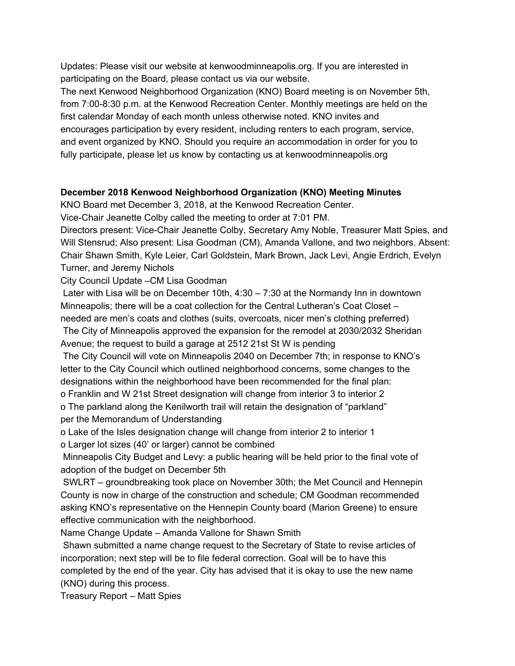Updates: Please visit our website at kenwoodminneapolis.org. If you are interested in participating on the Board, please contact us via our website.

The next Kenwood Neighborhood Organization (KNO) Board meeting is on November 5th, from 7:00-8:30 p.m. at the Kenwood Recreation Center. Monthly meetings are held on the first calendar Monday of each month unless otherwise noted. KNO invites and encourages participation by every resident, including renters to each program, service, and event organized by KNO. Should you require an accommodation in order for you to fully participate, please let us know by contacting us at kenwoodminneapolis.org

### **December 2018 Kenwood Neighborhood Organization (KNO) Meeting Minutes**

KNO Board met December 3, 2018, at the Kenwood Recreation Center.

Vice-Chair Jeanette Colby called the meeting to order at 7:01 PM.

Directors present: Vice-Chair Jeanette Colby, Secretary Amy Noble, Treasurer Matt Spies, and Will Stensrud; Also present: Lisa Goodman (CM), Amanda Vallone, and two neighbors. Absent: Chair Shawn Smith, Kyle Leier, Carl Goldstein, Mark Brown, Jack Levi, Angie Erdrich, Evelyn Turner, and Jeremy Nichols

City Council Update –CM Lisa Goodman

Later with Lisa will be on December 10th, 4:30 – 7:30 at the Normandy Inn in downtown Minneapolis; there will be a coat collection for the Central Lutheran's Coat Closet – needed are men's coats and clothes (suits, overcoats, nicer men's clothing preferred) The City of Minneapolis approved the expansion for the remodel at 2030/2032 Sheridan

Avenue; the request to build a garage at 2512 21st St W is pending

The City Council will vote on Minneapolis 2040 on December 7th; in response to KNO's letter to the City Council which outlined neighborhood concerns, some changes to the designations within the neighborhood have been recommended for the final plan:

o Franklin and W 21st Street designation will change from interior 3 to interior 2

o The parkland along the Kenilworth trail will retain the designation of "parkland" per the Memorandum of Understanding

o Lake of the Isles designation change will change from interior 2 to interior 1 o Larger lot sizes (40' or larger) cannot be combined

Minneapolis City Budget and Levy: a public hearing will be held prior to the final vote of adoption of the budget on December 5th

SWLRT – groundbreaking took place on November 30th; the Met Council and Hennepin County is now in charge of the construction and schedule; CM Goodman recommended asking KNO's representative on the Hennepin County board (Marion Greene) to ensure effective communication with the neighborhood.

Name Change Update – Amanda Vallone for Shawn Smith

Shawn submitted a name change request to the Secretary of State to revise articles of incorporation; next step will be to file federal correction. Goal will be to have this completed by the end of the year. City has advised that it is okay to use the new name (KNO) during this process.

Treasury Report – Matt Spies